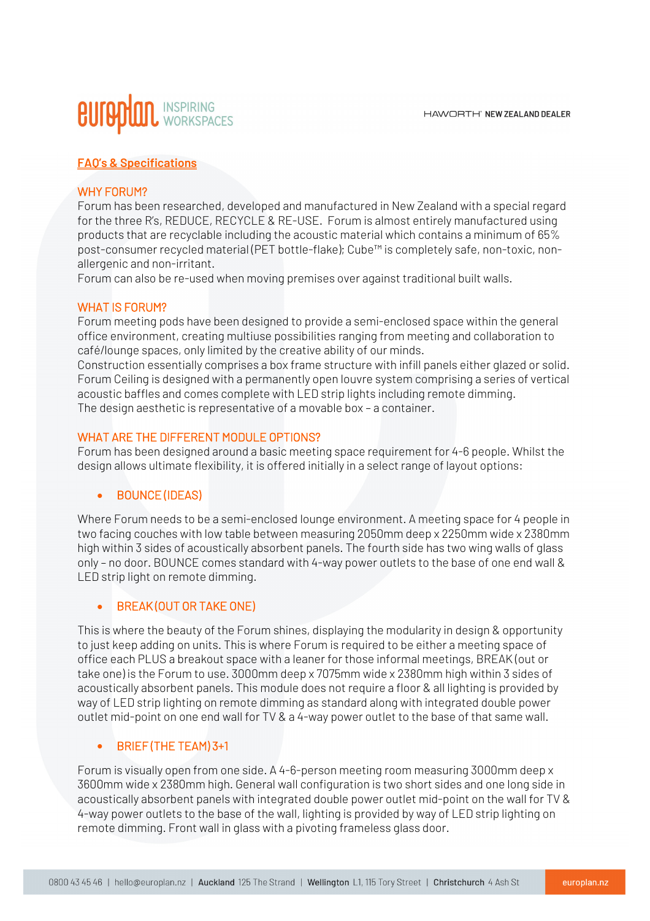# eurep

## **FAQ's & Specifications**

## WHY FORUM?

Forum has been researched, developed and manufactured in New Zealand with a special regard for the three R's, REDUCE, RECYCLE & RE-USE. Forum is almost entirely manufactured using products that are recyclable including the acoustic material which contains a minimum of 65% post-consumer recycled material (PET bottle-flake); Cube™ is completely safe, non-toxic, nonallergenic and non-irritant.

Forum can also be re-used when moving premises over against traditional built walls.

### WHAT IS FORUM?

Forum meeting pods have been designed to provide a semi-enclosed space within the general office environment, creating multiuse possibilities ranging from meeting and collaboration to café/lounge spaces, only limited by the creative ability of our minds.

Construction essentially comprises a box frame structure with infill panels either glazed or solid. Forum Ceiling is designed with a permanently open louvre system comprising a series of vertical acoustic baffles and comes complete with LED strip lights including remote dimming. The design aesthetic is representative of a movable box – a container.

## WHAT ARE THE DIFFERENT MODULE OPTIONS?

Forum has been designed around a basic meeting space requirement for 4-6 people. Whilst the design allows ultimate flexibility, it is offered initially in a select range of layout options:

### • BOUNCE (IDEAS)

Where Forum needs to be a semi-enclosed lounge environment. A meeting space for 4 people in two facing couches with low table between measuring 2050mm deep x 2250mm wide x 2380mm high within 3 sides of acoustically absorbent panels. The fourth side has two wing walls of glass only – no door. BOUNCE comes standard with 4-way power outlets to the base of one end wall & LED strip light on remote dimming.

### • BREAK (OUT OR TAKE ONE)

This is where the beauty of the Forum shines, displaying the modularity in design & opportunity to just keep adding on units. This is where Forum is required to be either a meeting space of office each PLUS a breakout space with a leaner for those informal meetings, BREAK (out or take one) is the Forum to use. 3000mm deep x 7075mm wide x 2380mm high within 3 sides of acoustically absorbent panels. This module does not require a floor & all lighting is provided by way of LED strip lighting on remote dimming as standard along with integrated double power outlet mid-point on one end wall for TV & a 4-way power outlet to the base of that same wall.

### • BRIEF (THE TEAM) 3+1

Forum is visually open from one side. A 4-6-person meeting room measuring 3000mm deep x 3600mm wide x 2380mm high. General wall configuration is two short sides and one long side in acoustically absorbent panels with integrated double power outlet mid-point on the wall for TV & 4-way power outlets to the base of the wall, lighting is provided by way of LED strip lighting on remote dimming. Front wall in glass with a pivoting frameless glass door.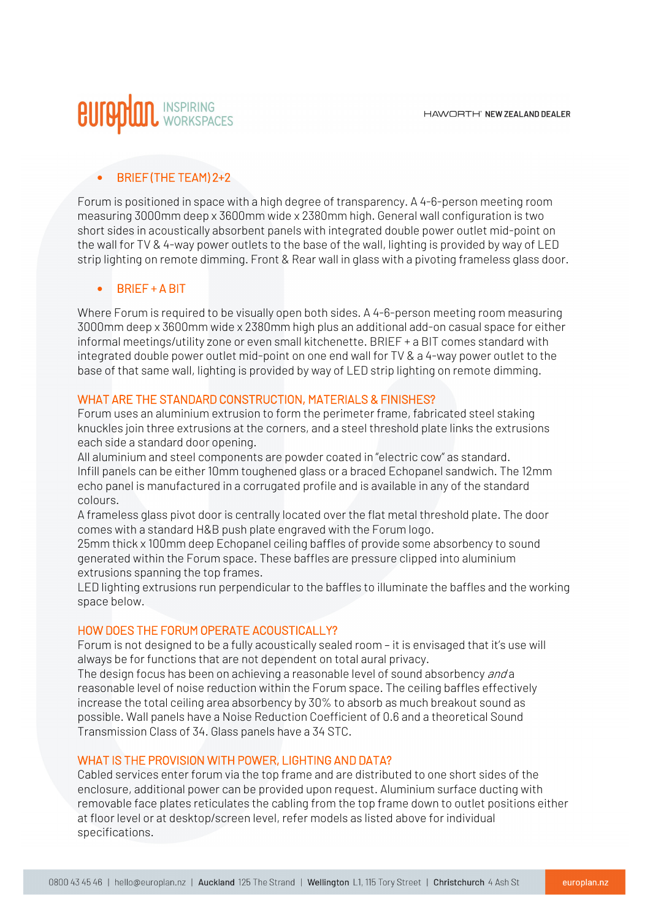# **BUTOPION** INSPIRING

# • BRIEF (THE TEAM) 2+2

Forum is positioned in space with a high degree of transparency. A 4-6-person meeting room measuring 3000mm deep x 3600mm wide x 2380mm high. General wall configuration is two short sides in acoustically absorbent panels with integrated double power outlet mid-point on the wall for TV & 4-way power outlets to the base of the wall, lighting is provided by way of LED strip lighting on remote dimming. Front & Rear wall in glass with a pivoting frameless glass door.

# • BRIEF + A BIT

Where Forum is required to be visually open both sides. A 4-6-person meeting room measuring 3000mm deep x 3600mm wide x 2380mm high plus an additional add-on casual space for either informal meetings/utility zone or even small kitchenette. BRIEF + a BIT comes standard with integrated double power outlet mid-point on one end wall for TV & a 4-way power outlet to the base of that same wall, lighting is provided by way of LED strip lighting on remote dimming.

# WHAT ARE THE STANDARD CONSTRUCTION, MATERIALS & FINISHES?

Forum uses an aluminium extrusion to form the perimeter frame, fabricated steel staking knuckles join three extrusions at the corners, and a steel threshold plate links the extrusions each side a standard door opening.

All aluminium and steel components are powder coated in "electric cow" as standard. Infill panels can be either 10mm toughened glass or a braced Echopanel sandwich. The 12mm echo panel is manufactured in a corrugated profile and is available in any of the standard colours.

A frameless glass pivot door is centrally located over the flat metal threshold plate. The door comes with a standard H&B push plate engraved with the Forum logo.

25mm thick x 100mm deep Echopanel ceiling baffles of provide some absorbency to sound generated within the Forum space. These baffles are pressure clipped into aluminium extrusions spanning the top frames.

LED lighting extrusions run perpendicular to the baffles to illuminate the baffles and the working space below.

# HOW DOES THE FORUM OPERATE ACOUSTICALLY?

Forum is not designed to be a fully acoustically sealed room – it is envisaged that it's use will always be for functions that are not dependent on total aural privacy.

The design focus has been on achieving a reasonable level of sound absorbency and a reasonable level of noise reduction within the Forum space. The ceiling baffles effectively increase the total ceiling area absorbency by 30% to absorb as much breakout sound as possible. Wall panels have a Noise Reduction Coefficient of 0.6 and a theoretical Sound Transmission Class of 34. Glass panels have a 34 STC.

# WHAT IS THE PROVISION WITH POWER, LIGHTING AND DATA?

Cabled services enter forum via the top frame and are distributed to one short sides of the enclosure, additional power can be provided upon request. Aluminium surface ducting with removable face plates reticulates the cabling from the top frame down to outlet positions either at floor level or at desktop/screen level, refer models as listed above for individual specifications.